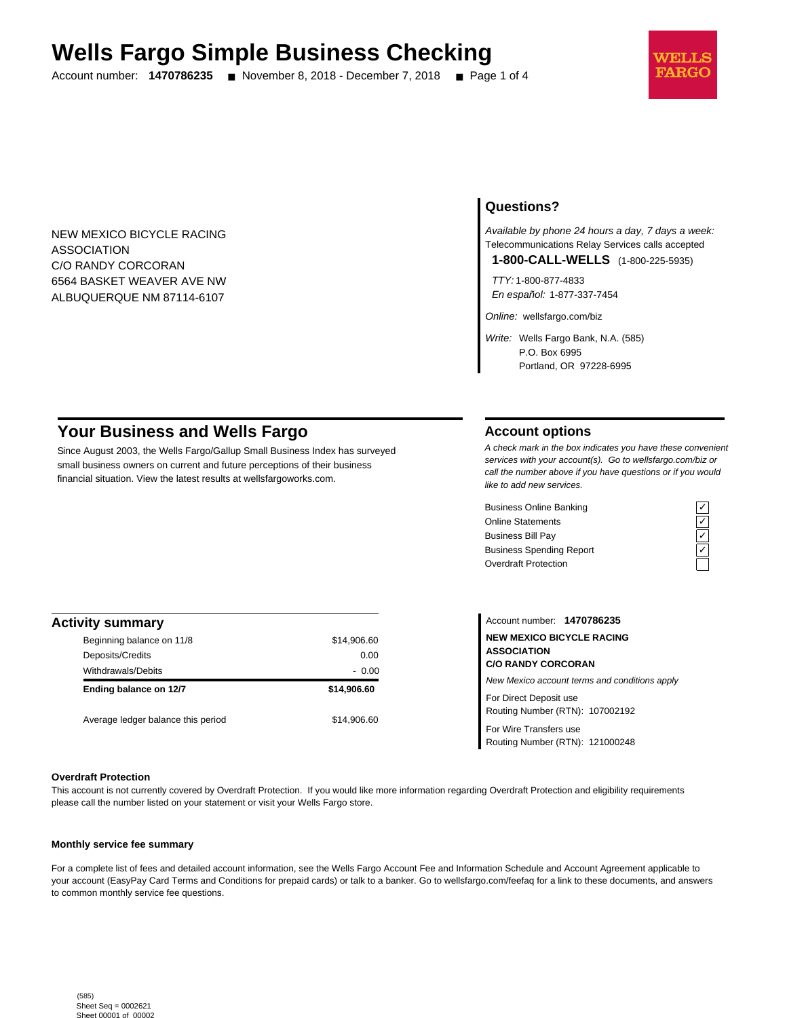# **Wells Fargo Simple Business Checking**

Account number: **1470786235** ■ November 8, 2018 - December 7, 2018 ■ Page 1 of 4



NEW MEXICO BICYCLE RACING ASSOCIATION C/O RANDY CORCORAN 6564 BASKET WEAVER AVE NW ALBUQUERQUE NM 87114-6107

## **Questions?**

Available by phone 24 hours a day, 7 days a week: Telecommunications Relay Services calls accepted

**1-800-CALL-WELLS** (1-800-225-5935)

TTY: 1-800-877-4833 En español: 1-877-337-7454

Online: wellsfargo.com/biz

Write: Wells Fargo Bank, N.A. (585) P.O. Box 6995 Portland, OR 97228-6995

# **Your Business and Wells Fargo**

Since August 2003, the Wells Fargo/Gallup Small Business Index has surveyed small business owners on current and future perceptions of their business financial situation. View the latest results at wellsfargoworks.com.

## **Account options**

A check mark in the box indicates you have these convenient services with your account(s). Go to wellsfargo.com/biz or call the number above if you have questions or if you would like to add new services.

Business Online Banking Online Statements ✓ Business Bill Pay Business Spending Report Overdraft Protection

| <b>Activity summary</b>            |             |
|------------------------------------|-------------|
| Beginning balance on 11/8          | \$14,906.60 |
| Deposits/Credits                   | 0.00        |
| <b>Withdrawals/Debits</b>          | $-0.00$     |
| Ending balance on 12/7             | \$14,906.60 |
| Average ledger balance this period | \$14,906.60 |

Account number: **1470786235 NEW MEXICO BICYCLE RACING ASSOCIATION C/O RANDY CORCORAN** New Mexico account terms and conditions apply For Direct Deposit use

Routing Number (RTN): 107002192

For Wire Transfers use Routing Number (RTN): 121000248

### **Overdraft Protection**

This account is not currently covered by Overdraft Protection. If you would like more information regarding Overdraft Protection and eligibility requirements please call the number listed on your statement or visit your Wells Fargo store.

### **Monthly service fee summary**

For a complete list of fees and detailed account information, see the Wells Fargo Account Fee and Information Schedule and Account Agreement applicable to your account (EasyPay Card Terms and Conditions for prepaid cards) or talk to a banker. Go to wellsfargo.com/feefaq for a link to these documents, and answers to common monthly service fee questions.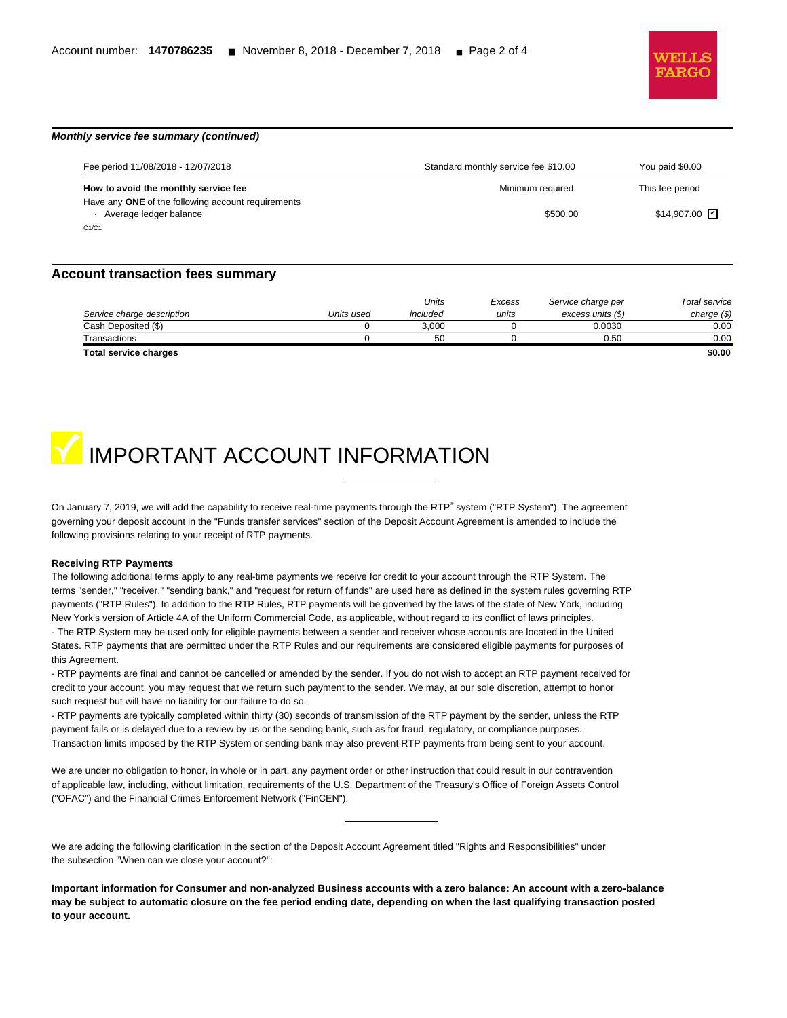

# **Monthly service fee summary (continued)**

| Fee period 11/08/2018 - 12/07/2018                 | Standard monthly service fee \$10.00 | You paid \$0.00       |
|----------------------------------------------------|--------------------------------------|-----------------------|
| How to avoid the monthly service fee               | Minimum required                     | This fee period       |
| Have any ONE of the following account requirements |                                      |                       |
| Average ledger balance                             | \$500.00                             | $$14.907.00$ $\nabla$ |
| C1/C1                                              |                                      |                       |

### **Account transaction fees summary**

|                              |            | Units    | Excess | Service charge per | Total service |
|------------------------------|------------|----------|--------|--------------------|---------------|
| Service charge description   | Units used | included | units  | excess units (\$)  | charge $(\$)$ |
| Cash Deposited (\$)          |            | 3.000    |        | 0.0030             | 0.00          |
| Transactions                 |            | 50       |        | 0.50               | 0.00          |
| <b>Total service charges</b> |            |          |        |                    | \$0.00        |



On January 7, 2019, we will add the capability to receive real-time payments through the RTP® system ("RTP System"). The agreement governing your deposit account in the "Funds transfer services" section of the Deposit Account Agreement is amended to include the following provisions relating to your receipt of RTP payments.

#### **Receiving RTP Payments**

The following additional terms apply to any real-time payments we receive for credit to your account through the RTP System. The terms "sender," "receiver," "sending bank," and "request for return of funds" are used here as defined in the system rules governing RTP payments ("RTP Rules"). In addition to the RTP Rules, RTP payments will be governed by the laws of the state of New York, including New York's version of Article 4A of the Uniform Commercial Code, as applicable, without regard to its conflict of laws principles. - The RTP System may be used only for eligible payments between a sender and receiver whose accounts are located in the United States. RTP payments that are permitted under the RTP Rules and our requirements are considered eligible payments for purposes of this Agreement.

- RTP payments are final and cannot be cancelled or amended by the sender. If you do not wish to accept an RTP payment received for credit to your account, you may request that we return such payment to the sender. We may, at our sole discretion, attempt to honor such request but will have no liability for our failure to do so.

- RTP payments are typically completed within thirty (30) seconds of transmission of the RTP payment by the sender, unless the RTP payment fails or is delayed due to a review by us or the sending bank, such as for fraud, regulatory, or compliance purposes. Transaction limits imposed by the RTP System or sending bank may also prevent RTP payments from being sent to your account.

We are under no obligation to honor, in whole or in part, any payment order or other instruction that could result in our contravention of applicable law, including, without limitation, requirements of the U.S. Department of the Treasury's Office of Foreign Assets Control ("OFAC") and the Financial Crimes Enforcement Network ("FinCEN").

We are adding the following clarification in the section of the Deposit Account Agreement titled "Rights and Responsibilities" under the subsection "When can we close your account?":

**Important information for Consumer and non-analyzed Business accounts with a zero balance: An account with a zero-balance may be subject to automatic closure on the fee period ending date, depending on when the last qualifying transaction posted to your account.**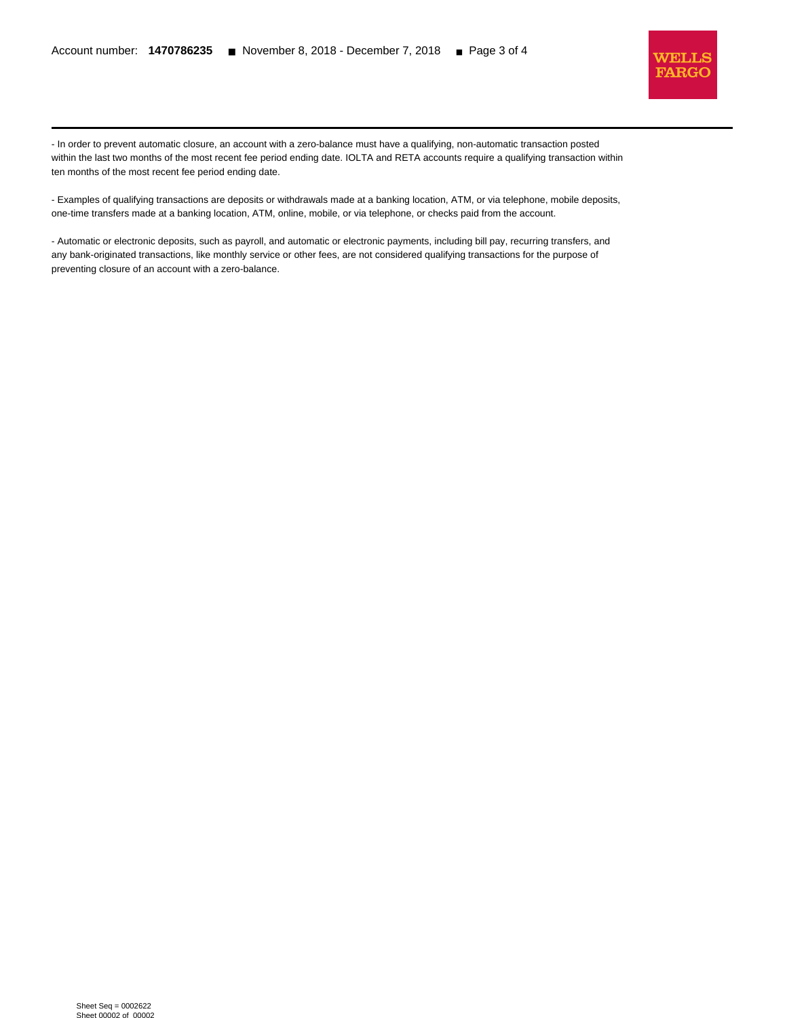l



- In order to prevent automatic closure, an account with a zero-balance must have a qualifying, non-automatic transaction posted within the last two months of the most recent fee period ending date. IOLTA and RETA accounts require a qualifying transaction within ten months of the most recent fee period ending date.

- Examples of qualifying transactions are deposits or withdrawals made at a banking location, ATM, or via telephone, mobile deposits, one-time transfers made at a banking location, ATM, online, mobile, or via telephone, or checks paid from the account.

- Automatic or electronic deposits, such as payroll, and automatic or electronic payments, including bill pay, recurring transfers, and any bank-originated transactions, like monthly service or other fees, are not considered qualifying transactions for the purpose of preventing closure of an account with a zero-balance.